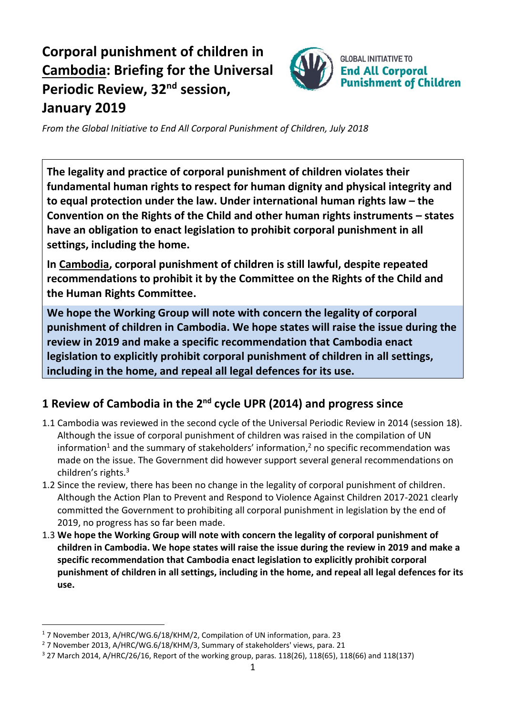# **Corporal punishment of children in Cambodia: Briefing for the Universal Periodic Review, 32<sup>nd</sup> session, January 2019**



*From the Global Initiative to End All Corporal Punishment of Children, July 2018*

**The legality and practice of corporal punishment of children violates their fundamental human rights to respect for human dignity and physical integrity and to equal protection under the law. Under international human rights law – the Convention on the Rights of the Child and other human rights instruments – states have an obligation to enact legislation to prohibit corporal punishment in all settings, including the home.**

**In Cambodia, corporal punishment of children is still lawful, despite repeated recommendations to prohibit it by the Committee on the Rights of the Child and the Human Rights Committee.**

**We hope the Working Group will note with concern the legality of corporal punishment of children in Cambodia. We hope states will raise the issue during the review in 2019 and make a specific recommendation that Cambodia enact legislation to explicitly prohibit corporal punishment of children in all settings, including in the home, and repeal all legal defences for its use.**

## **1 Review of Cambodia in the 2nd cycle UPR (2014) and progress since**

- 1.1 Cambodia was reviewed in the second cycle of the Universal Periodic Review in 2014 (session 18). Although the issue of corporal punishment of children was raised in the compilation of UN information<sup>1</sup> and the summary of stakeholders' information,<sup>2</sup> no specific recommendation was made on the issue. The Government did however support several general recommendations on children's rights. 3
- 1.2 Since the review, there has been no change in the legality of corporal punishment of children. Although the Action Plan to Prevent and Respond to Violence Against Children 2017-2021 clearly committed the Government to prohibiting all corporal punishment in legislation by the end of 2019, no progress has so far been made.
- 1.3 **We hope the Working Group will note with concern the legality of corporal punishment of children in Cambodia. We hope states will raise the issue during the review in 2019 and make a specific recommendation that Cambodia enact legislation to explicitly prohibit corporal punishment of children in all settings, including in the home, and repeal all legal defences for its use.**

 $\overline{a}$ 

<sup>1</sup> 7 November 2013, A/HRC/WG.6/18/KHM/2, Compilation of UN information, para. 23

<sup>&</sup>lt;sup>2</sup> 7 November 2013, A/HRC/WG.6/18/KHM/3, Summary of stakeholders' views, para. 21

<sup>3</sup> 27 March 2014, A/HRC/26/16, Report of the working group, paras. 118(26), 118(65), 118(66) and 118(137)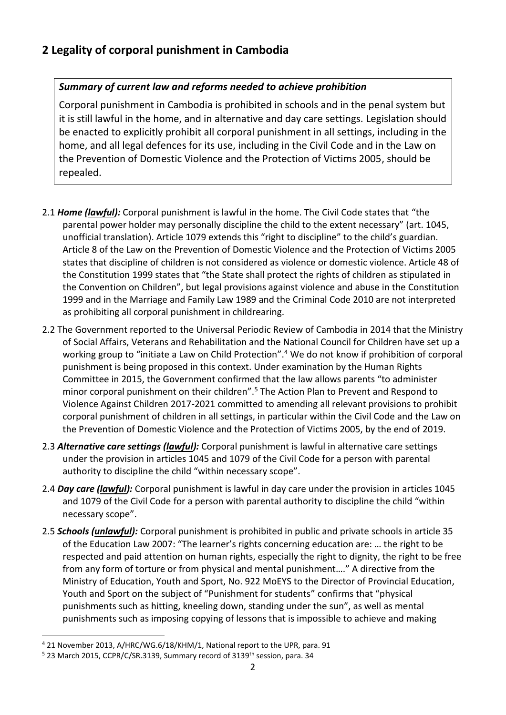## **2 Legality of corporal punishment in Cambodia**

#### *Summary of current law and reforms needed to achieve prohibition*

Corporal punishment in Cambodia is prohibited in schools and in the penal system but it is still lawful in the home, and in alternative and day care settings. Legislation should be enacted to explicitly prohibit all corporal punishment in all settings, including in the home, and all legal defences for its use, including in the Civil Code and in the Law on the Prevention of Domestic Violence and the Protection of Victims 2005, should be repealed.

- 2.1 *Home (lawful):* Corporal punishment is lawful in the home. The Civil Code states that "the parental power holder may personally discipline the child to the extent necessary" (art. 1045, unofficial translation). Article 1079 extends this "right to discipline" to the child's guardian. Article 8 of the Law on the Prevention of Domestic Violence and the Protection of Victims 2005 states that discipline of children is not considered as violence or domestic violence. Article 48 of the Constitution 1999 states that "the State shall protect the rights of children as stipulated in the Convention on Children", but legal provisions against violence and abuse in the Constitution 1999 and in the Marriage and Family Law 1989 and the Criminal Code 2010 are not interpreted as prohibiting all corporal punishment in childrearing.
- 2.2 The Government reported to the Universal Periodic Review of Cambodia in 2014 that the Ministry of Social Affairs, Veterans and Rehabilitation and the National Council for Children have set up a working group to "initiate a Law on Child Protection".<sup>4</sup> We do not know if prohibition of corporal punishment is being proposed in this context. Under examination by the Human Rights Committee in 2015, the Government confirmed that the law allows parents "to administer minor corporal punishment on their children".<sup>5</sup> The Action Plan to Prevent and Respond to Violence Against Children 2017-2021 committed to amending all relevant provisions to prohibit corporal punishment of children in all settings, in particular within the Civil Code and the Law on the Prevention of Domestic Violence and the Protection of Victims 2005, by the end of 2019.
- 2.3 *Alternative care settings (lawful):* Corporal punishment is lawful in alternative care settings under the provision in articles 1045 and 1079 of the Civil Code for a person with parental authority to discipline the child "within necessary scope".
- 2.4 *Day care (lawful):* Corporal punishment is lawful in day care under the provision in articles 1045 and 1079 of the Civil Code for a person with parental authority to discipline the child "within necessary scope".
- 2.5 *Schools (unlawful):* Corporal punishment is prohibited in public and private schools in article 35 of the Education Law 2007: "The learner's rights concerning education are: … the right to be respected and paid attention on human rights, especially the right to dignity, the right to be free from any form of torture or from physical and mental punishment…." A directive from the Ministry of Education, Youth and Sport, No. 922 MoEYS to the Director of Provincial Education, Youth and Sport on the subject of "Punishment for students" confirms that "physical punishments such as hitting, kneeling down, standing under the sun", as well as mental punishments such as imposing copying of lessons that is impossible to achieve and making

 $\overline{a}$ 

<sup>4</sup> 21 November 2013, A/HRC/WG.6/18/KHM/1, National report to the UPR, para. 91

<sup>&</sup>lt;sup>5</sup> 23 March 2015, CCPR/C/SR.3139, Summary record of 3139<sup>th</sup> session, para. 34